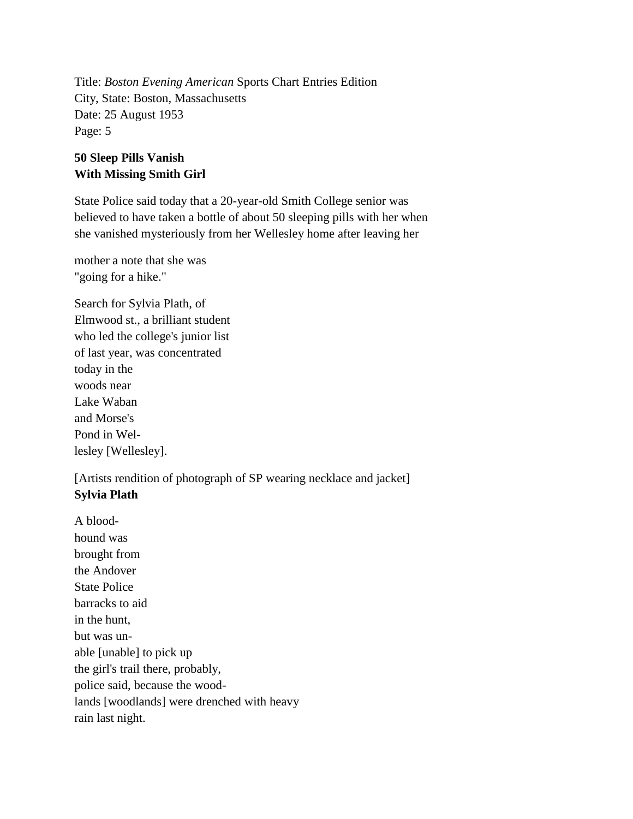Title: *Boston Evening American* Sports Chart Entries Edition City, State: Boston, Massachusetts Date: 25 August 1953 Page: 5

## **50 Sleep Pills Vanish With Missing Smith Girl**

State Police said today that a 20-year-old Smith College senior was believed to have taken a bottle of about 50 sleeping pills with her when she vanished mysteriously from her Wellesley home after leaving her

mother a note that she was "going for a hike."

Search for Sylvia Plath, of Elmwood st., a brilliant student who led the college's junior list of last year, was concentrated today in the woods near Lake Waban and Morse's Pond in Wellesley [Wellesley].

[Artists rendition of photograph of SP wearing necklace and jacket] **Sylvia Plath**

A bloodhound was brought from the Andover State Police barracks to aid in the hunt, but was unable [unable] to pick up the girl's trail there, probably, police said, because the woodlands [woodlands] were drenched with heavy rain last night.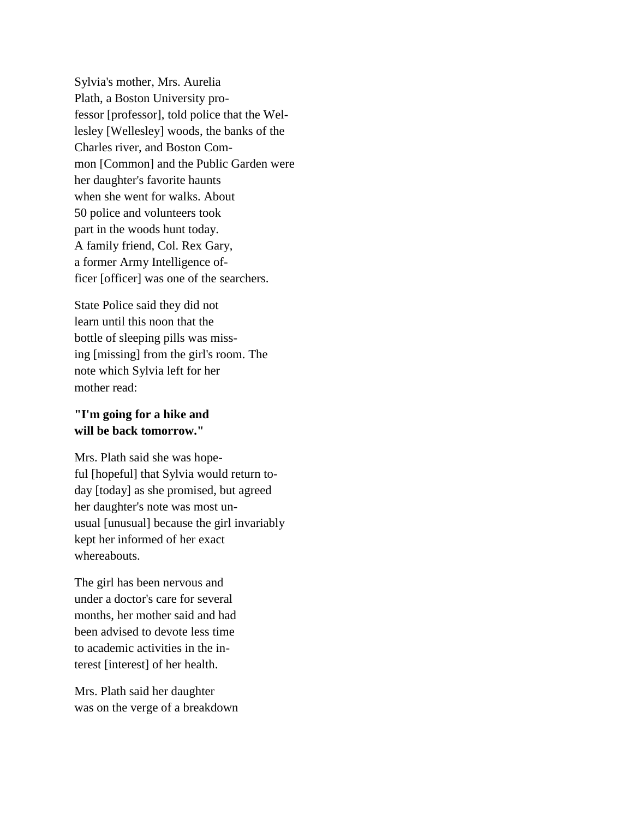Sylvia's mother, Mrs. Aurelia Plath, a Boston University professor [professor], told police that the Wellesley [Wellesley] woods, the banks of the Charles river, and Boston Common [Common] and the Public Garden were her daughter's favorite haunts when she went for walks. About 50 police and volunteers took part in the woods hunt today. A family friend, Col. Rex Gary, a former Army Intelligence officer [officer] was one of the searchers.

State Police said they did not learn until this noon that the bottle of sleeping pills was missing [missing] from the girl's room. The note which Sylvia left for her mother read:

## **"I'm going for a hike and will be back tomorrow."**

Mrs. Plath said she was hopeful [hopeful] that Sylvia would return today [today] as she promised, but agreed her daughter's note was most unusual [unusual] because the girl invariably kept her informed of her exact whereabouts.

The girl has been nervous and under a doctor's care for several months, her mother said and had been advised to devote less time to academic activities in the interest [interest] of her health.

Mrs. Plath said her daughter was on the verge of a breakdown